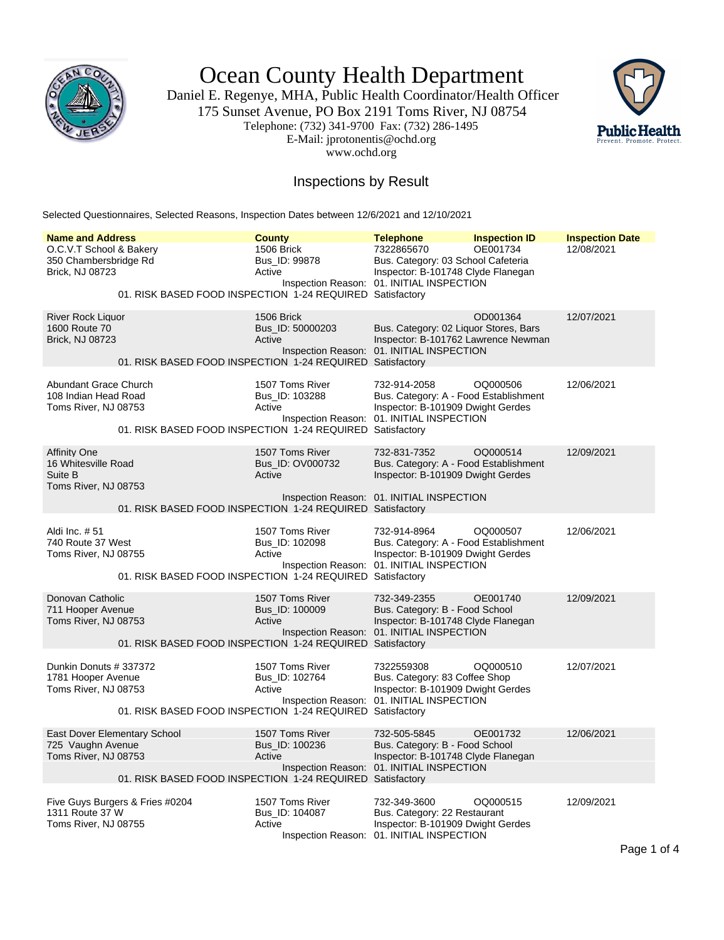

Ocean County Health Department

Daniel E. Regenye, MHA, Public Health Coordinator/Health Officer 175 Sunset Avenue, PO Box 2191 Toms River, NJ 08754 Telephone: (732) 341-9700 Fax: (732) 286-1495 E-Mail: jprotonentis@ochd.org www.ochd.org



## Inspections by Result

Selected Questionnaires, Selected Reasons, Inspection Dates between 12/6/2021 and 12/10/2021

| <b>Name and Address</b>                                                                                                                | <b>County</b>                                 | <b>Telephone</b>                                                                                                                        | <b>Inspection ID</b> | <b>Inspection Date</b> |
|----------------------------------------------------------------------------------------------------------------------------------------|-----------------------------------------------|-----------------------------------------------------------------------------------------------------------------------------------------|----------------------|------------------------|
| O.C.V.T School & Bakery<br>350 Chambersbridge Rd<br>Brick, NJ 08723<br>01. RISK BASED FOOD INSPECTION 1-24 REQUIRED Satisfactory       | 1506 Brick<br>Bus_ID: 99878<br>Active         | 7322865670<br>Bus. Category: 03 School Cafeteria<br>Inspector: B-101748 Clyde Flanegan<br>Inspection Reason: 01. INITIAL INSPECTION     | OE001734             | 12/08/2021             |
|                                                                                                                                        |                                               |                                                                                                                                         |                      |                        |
| River Rock Liquor<br>1600 Route 70<br><b>Brick, NJ 08723</b><br>01. RISK BASED FOOD INSPECTION 1-24 REQUIRED Satisfactory              | 1506 Brick<br>Bus_ID: 50000203<br>Active      | Bus. Category: 02 Liquor Stores, Bars<br>Inspector: B-101762 Lawrence Newman<br>Inspection Reason: 01. INITIAL INSPECTION               | OD001364             | 12/07/2021             |
| Abundant Grace Church<br>108 Indian Head Road<br>Toms River, NJ 08753<br>01. RISK BASED FOOD INSPECTION 1-24 REQUIRED Satisfactory     | 1507 Toms River<br>Bus ID: 103288<br>Active   | 732-914-2058<br>Bus. Category: A - Food Establishment<br>Inspector: B-101909 Dwight Gerdes<br>Inspection Reason: 01. INITIAL INSPECTION | OQ000506             | 12/06/2021             |
| <b>Affinity One</b><br>16 Whitesville Road<br>Suite B<br>Toms River, NJ 08753                                                          | 1507 Toms River<br>Bus ID: OV000732<br>Active | 732-831-7352<br>Bus. Category: A - Food Establishment<br>Inspector: B-101909 Dwight Gerdes                                              | OQ000514             | 12/09/2021             |
| 01. RISK BASED FOOD INSPECTION 1-24 REQUIRED Satisfactory                                                                              |                                               | Inspection Reason: 01. INITIAL INSPECTION                                                                                               |                      |                        |
| Aldi Inc. #51<br>740 Route 37 West<br>Toms River, NJ 08755<br>01. RISK BASED FOOD INSPECTION 1-24 REQUIRED Satisfactory                | 1507 Toms River<br>Bus_ID: 102098<br>Active   | 732-914-8964<br>Bus. Category: A - Food Establishment<br>Inspector: B-101909 Dwight Gerdes<br>Inspection Reason: 01. INITIAL INSPECTION | OQ000507             | 12/06/2021             |
| Donovan Catholic<br>711 Hooper Avenue<br>Toms River, NJ 08753<br>01. RISK BASED FOOD INSPECTION 1-24 REQUIRED Satisfactory             | 1507 Toms River<br>Bus_ID: 100009<br>Active   | 732-349-2355<br>Bus. Category: B - Food School<br>Inspector: B-101748 Clyde Flanegan<br>Inspection Reason: 01. INITIAL INSPECTION       | OE001740             | 12/09/2021             |
| Dunkin Donuts # 337372<br>1781 Hooper Avenue<br>Toms River, NJ 08753<br>01. RISK BASED FOOD INSPECTION 1-24 REQUIRED Satisfactory      | 1507 Toms River<br>Bus ID: 102764<br>Active   | 7322559308<br>Bus. Category: 83 Coffee Shop<br>Inspector: B-101909 Dwight Gerdes<br>Inspection Reason: 01. INITIAL INSPECTION           | OQ000510             | 12/07/2021             |
| East Dover Elementary School<br>725 Vaughn Avenue<br>Toms River, NJ 08753<br>01. RISK BASED FOOD INSPECTION 1-24 REQUIRED Satisfactory | 1507 Toms River<br>Bus ID: 100236<br>Active   | 732-505-5845<br>Bus. Category: B - Food School<br>Inspector: B-101748 Clyde Flanegan<br>Inspection Reason: 01. INITIAL INSPECTION       | OE001732             | 12/06/2021             |
| Five Guys Burgers & Fries #0204<br>1311 Route 37 W<br>Toms River, NJ 08755                                                             | 1507 Toms River<br>Bus ID: 104087<br>Active   | 732-349-3600<br>Bus. Category: 22 Restaurant<br>Inspector: B-101909 Dwight Gerdes<br>Inspection Reason: 01. INITIAL INSPECTION          | OQ000515             | 12/09/2021             |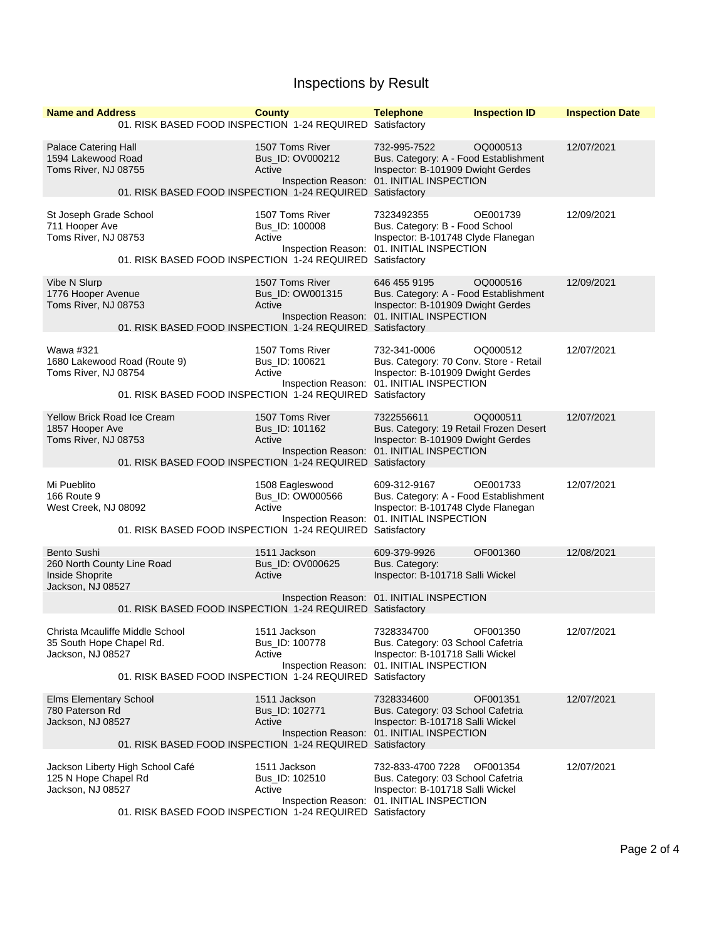## Inspections by Result

| <b>Name and Address</b>                                                           |                                                                                                                                                           | <b>County</b>                                 | <b>Telephone</b>                                                                                                                         | <b>Inspection ID</b> | <b>Inspection Date</b> |
|-----------------------------------------------------------------------------------|-----------------------------------------------------------------------------------------------------------------------------------------------------------|-----------------------------------------------|------------------------------------------------------------------------------------------------------------------------------------------|----------------------|------------------------|
|                                                                                   | 01. RISK BASED FOOD INSPECTION 1-24 REQUIRED Satisfactory                                                                                                 |                                               |                                                                                                                                          |                      |                        |
| Palace Catering Hall<br>1594 Lakewood Road<br>Toms River, NJ 08755                | 01. RISK BASED FOOD INSPECTION 1-24 REQUIRED Satisfactory                                                                                                 | 1507 Toms River<br>Bus_ID: OV000212<br>Active | 732-995-7522<br>Bus. Category: A - Food Establishment<br>Inspector: B-101909 Dwight Gerdes<br>Inspection Reason: 01. INITIAL INSPECTION  | OQ000513             | 12/07/2021             |
| St Joseph Grade School<br>711 Hooper Ave<br>Toms River, NJ 08753                  | 01. RISK BASED FOOD INSPECTION 1-24 REQUIRED Satisfactory                                                                                                 | 1507 Toms River<br>Bus_ID: 100008<br>Active   | 7323492355<br>Bus. Category: B - Food School<br>Inspector: B-101748 Clyde Flanegan<br>Inspection Reason: 01. INITIAL INSPECTION          | OE001739             | 12/09/2021             |
| Vibe N Slurp<br>1776 Hooper Avenue<br>Toms River, NJ 08753                        | 01. RISK BASED FOOD INSPECTION 1-24 REQUIRED Satisfactory                                                                                                 | 1507 Toms River<br>Bus_ID: OW001315<br>Active | 646 455 9195<br>Bus. Category: A - Food Establishment<br>Inspector: B-101909 Dwight Gerdes<br>Inspection Reason: 01. INITIAL INSPECTION  | OQ000516             | 12/09/2021             |
| Wawa #321<br>Toms River, NJ 08754                                                 | 1680 Lakewood Road (Route 9)<br>01. RISK BASED FOOD INSPECTION 1-24 REQUIRED Satisfactory                                                                 | 1507 Toms River<br>Bus_ID: 100621<br>Active   | 732-341-0006<br>Bus. Category: 70 Conv. Store - Retail<br>Inspector: B-101909 Dwight Gerdes<br>Inspection Reason: 01. INITIAL INSPECTION | OQ000512             | 12/07/2021             |
| <b>Yellow Brick Road Ice Cream</b><br>1857 Hooper Ave<br>Toms River, NJ 08753     | 01. RISK BASED FOOD INSPECTION 1-24 REQUIRED Satisfactory                                                                                                 | 1507 Toms River<br>Bus_ID: 101162<br>Active   | 7322556611<br>Bus. Category: 19 Retail Frozen Desert<br>Inspector: B-101909 Dwight Gerdes<br>Inspection Reason: 01. INITIAL INSPECTION   | OQ000511             | 12/07/2021             |
| Mi Pueblito<br><b>166 Route 9</b><br>West Creek, NJ 08092                         | 01. RISK BASED FOOD INSPECTION 1-24 REQUIRED Satisfactory                                                                                                 | 1508 Eagleswood<br>Bus_ID: OW000566<br>Active | 609-312-9167<br>Bus. Category: A - Food Establishment<br>Inspector: B-101748 Clyde Flanegan<br>Inspection Reason: 01. INITIAL INSPECTION | OE001733             | 12/07/2021             |
| Bento Sushi<br>260 North County Line Road<br>Inside Shoprite<br>Jackson, NJ 08527 |                                                                                                                                                           | 1511 Jackson<br>Bus_ID: OV000625<br>Active    | 609-379-9926<br>Bus. Category:<br>Inspector: B-101718 Salli Wickel<br>Inspection Reason: 01. INITIAL INSPECTION                          | OF001360             | 12/08/2021             |
| 35 South Hope Chapel Rd.<br>Jackson, NJ 08527                                     | 01. RISK BASED FOOD INSPECTION 1-24 REQUIRED Satisfactory<br>Christa Mcauliffe Middle School<br>01. RISK BASED FOOD INSPECTION 1-24 REQUIRED Satisfactory | 1511 Jackson<br>Bus_ID: 100778<br>Active      | 7328334700<br>Bus. Category: 03 School Cafetria<br>Inspector: B-101718 Salli Wickel<br>Inspection Reason: 01. INITIAL INSPECTION         | OF001350             | 12/07/2021             |
| <b>Elms Elementary School</b><br>780 Paterson Rd<br>Jackson, NJ 08527             | 01. RISK BASED FOOD INSPECTION 1-24 REQUIRED Satisfactory                                                                                                 | 1511 Jackson<br>Bus ID: 102771<br>Active      | 7328334600<br>Bus. Category: 03 School Cafetria<br>Inspector: B-101718 Salli Wickel<br>Inspection Reason: 01. INITIAL INSPECTION         | OF001351             | 12/07/2021             |
| 125 N Hope Chapel Rd<br>Jackson, NJ 08527                                         | Jackson Liberty High School Café<br>01. RISK BASED FOOD INSPECTION 1-24 REQUIRED Satisfactory                                                             | 1511 Jackson<br>Bus ID: 102510<br>Active      | 732-833-4700 7228<br>Bus. Category: 03 School Cafetria<br>Inspector: B-101718 Salli Wickel<br>Inspection Reason: 01. INITIAL INSPECTION  | OF001354             | 12/07/2021             |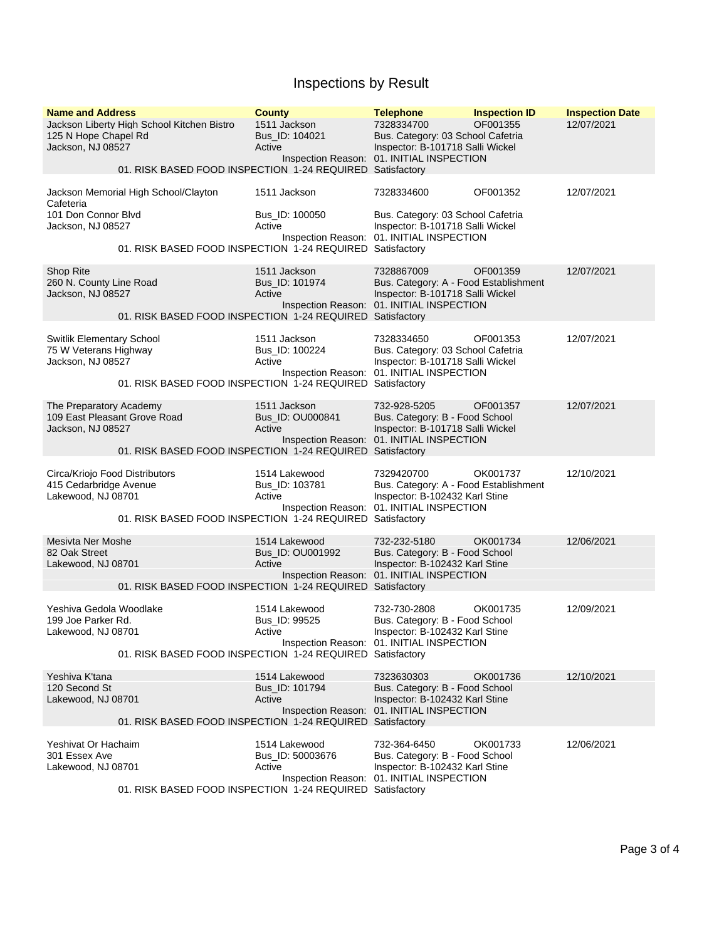## Inspections by Result

| <b>Name and Address</b><br><b>County</b><br><b>Telephone</b><br><b>Inspection ID</b><br><b>Inspection Date</b><br>1511 Jackson<br>Jackson Liberty High School Kitchen Bistro<br>7328334700<br>OF001355<br>12/07/2021<br>Bus. Category: 03 School Cafetria<br>Bus_ID: 104021<br>125 N Hope Chapel Rd<br>Jackson, NJ 08527<br>Active<br>Inspector: B-101718 Salli Wickel<br>Inspection Reason: 01. INITIAL INSPECTION<br>01. RISK BASED FOOD INSPECTION 1-24 REQUIRED Satisfactory<br>Jackson Memorial High School/Clayton<br>1511 Jackson<br>7328334600<br>OF001352<br>12/07/2021<br>Cafeteria<br>101 Don Connor Blvd<br>Bus_ID: 100050<br>Bus. Category: 03 School Cafetria<br>Jackson, NJ 08527<br>Active<br>Inspector: B-101718 Salli Wickel<br>Inspection Reason: 01. INITIAL INSPECTION<br>01. RISK BASED FOOD INSPECTION 1-24 REQUIRED Satisfactory<br><b>Shop Rite</b><br>1511 Jackson<br>7328867009<br>OF001359<br>12/07/2021<br>260 N. County Line Road<br>Bus. Category: A - Food Establishment<br>Bus_ID: 101974<br>Inspector: B-101718 Salli Wickel<br>Jackson, NJ 08527<br>Active<br>Inspection Reason: 01. INITIAL INSPECTION<br>01. RISK BASED FOOD INSPECTION 1-24 REQUIRED Satisfactory<br>Switlik Elementary School<br>1511 Jackson<br>7328334650<br>OF001353<br>12/07/2021<br>Bus. Category: 03 School Cafetria<br>75 W Veterans Highway<br>Bus_ID: 100224<br>Inspector: B-101718 Salli Wickel<br>Jackson, NJ 08527<br>Active<br>Inspection Reason: 01. INITIAL INSPECTION<br>01. RISK BASED FOOD INSPECTION 1-24 REQUIRED Satisfactory<br>1511 Jackson<br>The Preparatory Academy<br>732-928-5205<br>OF001357<br>12/07/2021<br>109 East Pleasant Grove Road<br>Bus_ID: OU000841<br>Bus. Category: B - Food School<br>Jackson, NJ 08527<br>Active<br>Inspector: B-101718 Salli Wickel<br>Inspection Reason: 01. INITIAL INSPECTION<br>01. RISK BASED FOOD INSPECTION 1-24 REQUIRED Satisfactory<br>1514 Lakewood<br>OK001737<br>12/10/2021<br>Circa/Kriojo Food Distributors<br>7329420700<br>415 Cedarbridge Avenue<br>Bus. Category: A - Food Establishment<br>Bus_ID: 103781<br>Lakewood, NJ 08701<br>Active<br>Inspector: B-102432 Karl Stine<br>Inspection Reason: 01. INITIAL INSPECTION<br>01. RISK BASED FOOD INSPECTION 1-24 REQUIRED Satisfactory<br>Mesivta Ner Moshe<br>1514 Lakewood<br>732-232-5180<br>OK001734<br>12/06/2021<br>82 Oak Street<br>Bus_ID: OU001992<br>Bus. Category: B - Food School<br>Active<br>Inspector: B-102432 Karl Stine<br>Lakewood, NJ 08701<br>Inspection Reason: 01. INITIAL INSPECTION<br>01. RISK BASED FOOD INSPECTION 1-24 REQUIRED Satisfactory<br>Yeshiva Gedola Woodlake<br>1514 Lakewood<br>732-730-2808<br>OK001735<br>12/09/2021<br>Bus. Category: B - Food School<br>199 Joe Parker Rd.<br>Bus_ID: 99525<br>Inspector: B-102432 Karl Stine<br>Lakewood, NJ 08701<br>Active<br>Inspection Reason: 01. INITIAL INSPECTION<br>01. RISK BASED FOOD INSPECTION 1-24 REQUIRED Satisfactory<br>Yeshiva K'tana<br>1514 Lakewood<br>7323630303<br>OK001736<br>12/10/2021<br>120 Second St<br>Bus. Category: B - Food School<br>Bus_ID: 101794<br>Lakewood, NJ 08701<br>Inspector: B-102432 Karl Stine<br>Active<br>Inspection Reason: 01. INITIAL INSPECTION<br>01. RISK BASED FOOD INSPECTION 1-24 REQUIRED Satisfactory<br>Yeshivat Or Hachaim<br>1514 Lakewood<br>732-364-6450<br>OK001733<br>12/06/2021<br>301 Essex Ave<br>Bus. Category: B - Food School<br>Bus_ID: 50003676<br>Lakewood, NJ 08701<br>Active<br>Inspector: B-102432 Karl Stine<br>Inspection Reason: 01. INITIAL INSPECTION<br>01. RISK BASED FOOD INSPECTION 1-24 REQUIRED Satisfactory |  |  |  |  |  |  |
|------------------------------------------------------------------------------------------------------------------------------------------------------------------------------------------------------------------------------------------------------------------------------------------------------------------------------------------------------------------------------------------------------------------------------------------------------------------------------------------------------------------------------------------------------------------------------------------------------------------------------------------------------------------------------------------------------------------------------------------------------------------------------------------------------------------------------------------------------------------------------------------------------------------------------------------------------------------------------------------------------------------------------------------------------------------------------------------------------------------------------------------------------------------------------------------------------------------------------------------------------------------------------------------------------------------------------------------------------------------------------------------------------------------------------------------------------------------------------------------------------------------------------------------------------------------------------------------------------------------------------------------------------------------------------------------------------------------------------------------------------------------------------------------------------------------------------------------------------------------------------------------------------------------------------------------------------------------------------------------------------------------------------------------------------------------------------------------------------------------------------------------------------------------------------------------------------------------------------------------------------------------------------------------------------------------------------------------------------------------------------------------------------------------------------------------------------------------------------------------------------------------------------------------------------------------------------------------------------------------------------------------------------------------------------------------------------------------------------------------------------------------------------------------------------------------------------------------------------------------------------------------------------------------------------------------------------------------------------------------------------------------------------------------------------------------------------------------------------------------------------------------------------------------------------------------------------------------------------------------------------------------------------------------------------------------------------------------------------------------------------------------------------------------------------------------------------------------------------------------------------------------------------------------------------------------------------------------------------------------------------|--|--|--|--|--|--|
|                                                                                                                                                                                                                                                                                                                                                                                                                                                                                                                                                                                                                                                                                                                                                                                                                                                                                                                                                                                                                                                                                                                                                                                                                                                                                                                                                                                                                                                                                                                                                                                                                                                                                                                                                                                                                                                                                                                                                                                                                                                                                                                                                                                                                                                                                                                                                                                                                                                                                                                                                                                                                                                                                                                                                                                                                                                                                                                                                                                                                                                                                                                                                                                                                                                                                                                                                                                                                                                                                                                                                                                                                              |  |  |  |  |  |  |
|                                                                                                                                                                                                                                                                                                                                                                                                                                                                                                                                                                                                                                                                                                                                                                                                                                                                                                                                                                                                                                                                                                                                                                                                                                                                                                                                                                                                                                                                                                                                                                                                                                                                                                                                                                                                                                                                                                                                                                                                                                                                                                                                                                                                                                                                                                                                                                                                                                                                                                                                                                                                                                                                                                                                                                                                                                                                                                                                                                                                                                                                                                                                                                                                                                                                                                                                                                                                                                                                                                                                                                                                                              |  |  |  |  |  |  |
|                                                                                                                                                                                                                                                                                                                                                                                                                                                                                                                                                                                                                                                                                                                                                                                                                                                                                                                                                                                                                                                                                                                                                                                                                                                                                                                                                                                                                                                                                                                                                                                                                                                                                                                                                                                                                                                                                                                                                                                                                                                                                                                                                                                                                                                                                                                                                                                                                                                                                                                                                                                                                                                                                                                                                                                                                                                                                                                                                                                                                                                                                                                                                                                                                                                                                                                                                                                                                                                                                                                                                                                                                              |  |  |  |  |  |  |
|                                                                                                                                                                                                                                                                                                                                                                                                                                                                                                                                                                                                                                                                                                                                                                                                                                                                                                                                                                                                                                                                                                                                                                                                                                                                                                                                                                                                                                                                                                                                                                                                                                                                                                                                                                                                                                                                                                                                                                                                                                                                                                                                                                                                                                                                                                                                                                                                                                                                                                                                                                                                                                                                                                                                                                                                                                                                                                                                                                                                                                                                                                                                                                                                                                                                                                                                                                                                                                                                                                                                                                                                                              |  |  |  |  |  |  |
|                                                                                                                                                                                                                                                                                                                                                                                                                                                                                                                                                                                                                                                                                                                                                                                                                                                                                                                                                                                                                                                                                                                                                                                                                                                                                                                                                                                                                                                                                                                                                                                                                                                                                                                                                                                                                                                                                                                                                                                                                                                                                                                                                                                                                                                                                                                                                                                                                                                                                                                                                                                                                                                                                                                                                                                                                                                                                                                                                                                                                                                                                                                                                                                                                                                                                                                                                                                                                                                                                                                                                                                                                              |  |  |  |  |  |  |
|                                                                                                                                                                                                                                                                                                                                                                                                                                                                                                                                                                                                                                                                                                                                                                                                                                                                                                                                                                                                                                                                                                                                                                                                                                                                                                                                                                                                                                                                                                                                                                                                                                                                                                                                                                                                                                                                                                                                                                                                                                                                                                                                                                                                                                                                                                                                                                                                                                                                                                                                                                                                                                                                                                                                                                                                                                                                                                                                                                                                                                                                                                                                                                                                                                                                                                                                                                                                                                                                                                                                                                                                                              |  |  |  |  |  |  |
|                                                                                                                                                                                                                                                                                                                                                                                                                                                                                                                                                                                                                                                                                                                                                                                                                                                                                                                                                                                                                                                                                                                                                                                                                                                                                                                                                                                                                                                                                                                                                                                                                                                                                                                                                                                                                                                                                                                                                                                                                                                                                                                                                                                                                                                                                                                                                                                                                                                                                                                                                                                                                                                                                                                                                                                                                                                                                                                                                                                                                                                                                                                                                                                                                                                                                                                                                                                                                                                                                                                                                                                                                              |  |  |  |  |  |  |
|                                                                                                                                                                                                                                                                                                                                                                                                                                                                                                                                                                                                                                                                                                                                                                                                                                                                                                                                                                                                                                                                                                                                                                                                                                                                                                                                                                                                                                                                                                                                                                                                                                                                                                                                                                                                                                                                                                                                                                                                                                                                                                                                                                                                                                                                                                                                                                                                                                                                                                                                                                                                                                                                                                                                                                                                                                                                                                                                                                                                                                                                                                                                                                                                                                                                                                                                                                                                                                                                                                                                                                                                                              |  |  |  |  |  |  |
|                                                                                                                                                                                                                                                                                                                                                                                                                                                                                                                                                                                                                                                                                                                                                                                                                                                                                                                                                                                                                                                                                                                                                                                                                                                                                                                                                                                                                                                                                                                                                                                                                                                                                                                                                                                                                                                                                                                                                                                                                                                                                                                                                                                                                                                                                                                                                                                                                                                                                                                                                                                                                                                                                                                                                                                                                                                                                                                                                                                                                                                                                                                                                                                                                                                                                                                                                                                                                                                                                                                                                                                                                              |  |  |  |  |  |  |
|                                                                                                                                                                                                                                                                                                                                                                                                                                                                                                                                                                                                                                                                                                                                                                                                                                                                                                                                                                                                                                                                                                                                                                                                                                                                                                                                                                                                                                                                                                                                                                                                                                                                                                                                                                                                                                                                                                                                                                                                                                                                                                                                                                                                                                                                                                                                                                                                                                                                                                                                                                                                                                                                                                                                                                                                                                                                                                                                                                                                                                                                                                                                                                                                                                                                                                                                                                                                                                                                                                                                                                                                                              |  |  |  |  |  |  |
|                                                                                                                                                                                                                                                                                                                                                                                                                                                                                                                                                                                                                                                                                                                                                                                                                                                                                                                                                                                                                                                                                                                                                                                                                                                                                                                                                                                                                                                                                                                                                                                                                                                                                                                                                                                                                                                                                                                                                                                                                                                                                                                                                                                                                                                                                                                                                                                                                                                                                                                                                                                                                                                                                                                                                                                                                                                                                                                                                                                                                                                                                                                                                                                                                                                                                                                                                                                                                                                                                                                                                                                                                              |  |  |  |  |  |  |
|                                                                                                                                                                                                                                                                                                                                                                                                                                                                                                                                                                                                                                                                                                                                                                                                                                                                                                                                                                                                                                                                                                                                                                                                                                                                                                                                                                                                                                                                                                                                                                                                                                                                                                                                                                                                                                                                                                                                                                                                                                                                                                                                                                                                                                                                                                                                                                                                                                                                                                                                                                                                                                                                                                                                                                                                                                                                                                                                                                                                                                                                                                                                                                                                                                                                                                                                                                                                                                                                                                                                                                                                                              |  |  |  |  |  |  |
|                                                                                                                                                                                                                                                                                                                                                                                                                                                                                                                                                                                                                                                                                                                                                                                                                                                                                                                                                                                                                                                                                                                                                                                                                                                                                                                                                                                                                                                                                                                                                                                                                                                                                                                                                                                                                                                                                                                                                                                                                                                                                                                                                                                                                                                                                                                                                                                                                                                                                                                                                                                                                                                                                                                                                                                                                                                                                                                                                                                                                                                                                                                                                                                                                                                                                                                                                                                                                                                                                                                                                                                                                              |  |  |  |  |  |  |
|                                                                                                                                                                                                                                                                                                                                                                                                                                                                                                                                                                                                                                                                                                                                                                                                                                                                                                                                                                                                                                                                                                                                                                                                                                                                                                                                                                                                                                                                                                                                                                                                                                                                                                                                                                                                                                                                                                                                                                                                                                                                                                                                                                                                                                                                                                                                                                                                                                                                                                                                                                                                                                                                                                                                                                                                                                                                                                                                                                                                                                                                                                                                                                                                                                                                                                                                                                                                                                                                                                                                                                                                                              |  |  |  |  |  |  |
|                                                                                                                                                                                                                                                                                                                                                                                                                                                                                                                                                                                                                                                                                                                                                                                                                                                                                                                                                                                                                                                                                                                                                                                                                                                                                                                                                                                                                                                                                                                                                                                                                                                                                                                                                                                                                                                                                                                                                                                                                                                                                                                                                                                                                                                                                                                                                                                                                                                                                                                                                                                                                                                                                                                                                                                                                                                                                                                                                                                                                                                                                                                                                                                                                                                                                                                                                                                                                                                                                                                                                                                                                              |  |  |  |  |  |  |
|                                                                                                                                                                                                                                                                                                                                                                                                                                                                                                                                                                                                                                                                                                                                                                                                                                                                                                                                                                                                                                                                                                                                                                                                                                                                                                                                                                                                                                                                                                                                                                                                                                                                                                                                                                                                                                                                                                                                                                                                                                                                                                                                                                                                                                                                                                                                                                                                                                                                                                                                                                                                                                                                                                                                                                                                                                                                                                                                                                                                                                                                                                                                                                                                                                                                                                                                                                                                                                                                                                                                                                                                                              |  |  |  |  |  |  |
|                                                                                                                                                                                                                                                                                                                                                                                                                                                                                                                                                                                                                                                                                                                                                                                                                                                                                                                                                                                                                                                                                                                                                                                                                                                                                                                                                                                                                                                                                                                                                                                                                                                                                                                                                                                                                                                                                                                                                                                                                                                                                                                                                                                                                                                                                                                                                                                                                                                                                                                                                                                                                                                                                                                                                                                                                                                                                                                                                                                                                                                                                                                                                                                                                                                                                                                                                                                                                                                                                                                                                                                                                              |  |  |  |  |  |  |
|                                                                                                                                                                                                                                                                                                                                                                                                                                                                                                                                                                                                                                                                                                                                                                                                                                                                                                                                                                                                                                                                                                                                                                                                                                                                                                                                                                                                                                                                                                                                                                                                                                                                                                                                                                                                                                                                                                                                                                                                                                                                                                                                                                                                                                                                                                                                                                                                                                                                                                                                                                                                                                                                                                                                                                                                                                                                                                                                                                                                                                                                                                                                                                                                                                                                                                                                                                                                                                                                                                                                                                                                                              |  |  |  |  |  |  |
|                                                                                                                                                                                                                                                                                                                                                                                                                                                                                                                                                                                                                                                                                                                                                                                                                                                                                                                                                                                                                                                                                                                                                                                                                                                                                                                                                                                                                                                                                                                                                                                                                                                                                                                                                                                                                                                                                                                                                                                                                                                                                                                                                                                                                                                                                                                                                                                                                                                                                                                                                                                                                                                                                                                                                                                                                                                                                                                                                                                                                                                                                                                                                                                                                                                                                                                                                                                                                                                                                                                                                                                                                              |  |  |  |  |  |  |
|                                                                                                                                                                                                                                                                                                                                                                                                                                                                                                                                                                                                                                                                                                                                                                                                                                                                                                                                                                                                                                                                                                                                                                                                                                                                                                                                                                                                                                                                                                                                                                                                                                                                                                                                                                                                                                                                                                                                                                                                                                                                                                                                                                                                                                                                                                                                                                                                                                                                                                                                                                                                                                                                                                                                                                                                                                                                                                                                                                                                                                                                                                                                                                                                                                                                                                                                                                                                                                                                                                                                                                                                                              |  |  |  |  |  |  |